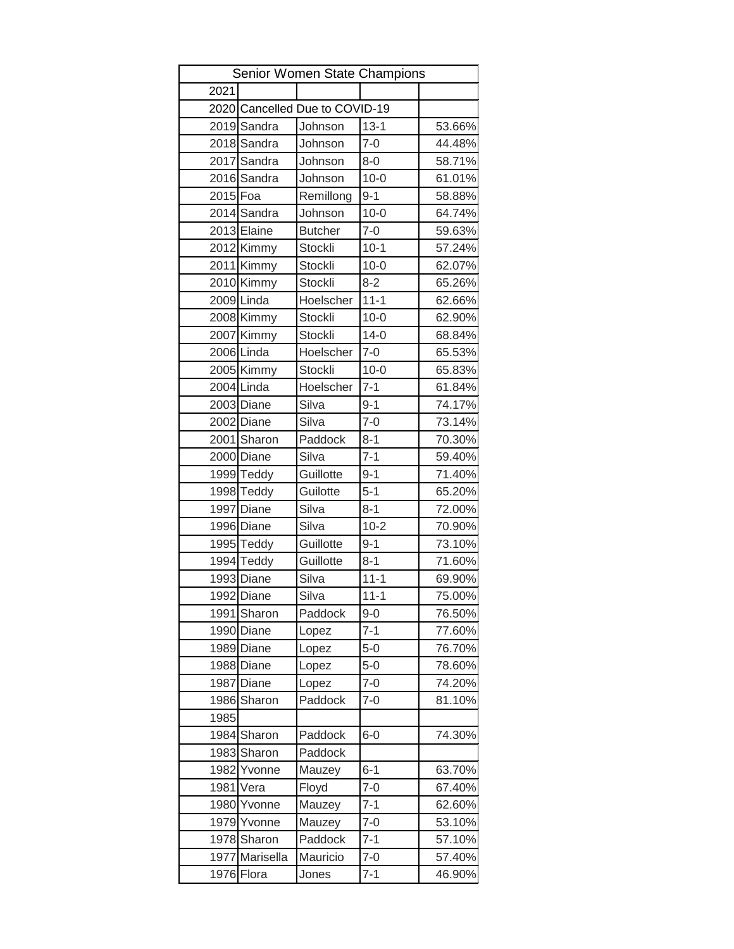| Senior Women State Champions |                |                                |                   |        |  |  |  |
|------------------------------|----------------|--------------------------------|-------------------|--------|--|--|--|
| 2021                         |                |                                |                   |        |  |  |  |
|                              |                | 2020 Cancelled Due to COVID-19 |                   |        |  |  |  |
|                              | 2019 Sandra    | Johnson                        | $13 - 1$          | 53.66% |  |  |  |
|                              | 2018 Sandra    | Johnson                        | $7 - 0$           | 44.48% |  |  |  |
|                              | 2017 Sandra    | Johnson                        | $8 - 0$           | 58.71% |  |  |  |
|                              | 2016 Sandra    | Johnson                        | $10 - 0$          | 61.01% |  |  |  |
| 2015 Foa                     |                | Remillong                      | $9 - 1$           | 58.88% |  |  |  |
|                              | 2014 Sandra    | Johnson                        | $10 - 0$          | 64.74% |  |  |  |
|                              | 2013 Elaine    | <b>Butcher</b>                 | $7 - 0$           | 59.63% |  |  |  |
|                              | 2012 Kimmy     | Stockli                        | $10-1$            | 57.24% |  |  |  |
|                              | 2011 Kimmy     | <b>Stockli</b>                 | $10 - 0$          | 62.07% |  |  |  |
|                              | 2010 Kimmy     | Stockli                        | $8 - 2$           | 65.26% |  |  |  |
|                              | 2009 Linda     | Hoelscher                      | $11 - 1$          | 62.66% |  |  |  |
|                              | 2008 Kimmy     | <b>Stockli</b>                 | $10 - 0$          | 62.90% |  |  |  |
|                              | 2007 Kimmy     | Stockli                        | $\overline{14-0}$ | 68.84% |  |  |  |
|                              | 2006 Linda     | Hoelscher                      | $7 - 0$           | 65.53% |  |  |  |
|                              | 2005 Kimmy     | <b>Stockli</b>                 | $10 - 0$          | 65.83% |  |  |  |
|                              | 2004 Linda     | Hoelscher                      | $7 - 1$           | 61.84% |  |  |  |
|                              | 2003 Diane     | Silva                          | $9 - 1$           | 74.17% |  |  |  |
|                              | 2002 Diane     | Silva                          | $7-0$             | 73.14% |  |  |  |
|                              | 2001 Sharon    | Paddock                        | $8 - 1$           | 70.30% |  |  |  |
|                              | 2000 Diane     | Silva                          | $7 - 1$           | 59.40% |  |  |  |
|                              | 1999 Teddy     | Guillotte                      | $9 - 1$           | 71.40% |  |  |  |
|                              | 1998 Teddy     | Guilotte                       | $5 - 1$           | 65.20% |  |  |  |
|                              | 1997 Diane     | Silva                          | $8 - 1$           | 72.00% |  |  |  |
|                              | 1996 Diane     | Silva                          | $10 - 2$          | 70.90% |  |  |  |
|                              | 1995 Teddy     | Guillotte                      | $9 - 1$           | 73.10% |  |  |  |
|                              | 1994 Teddy     | Guillotte                      | $8 - 1$           | 71.60% |  |  |  |
|                              | 1993 Diane     | Silva                          | $11 - 1$          | 69.90% |  |  |  |
|                              | 1992 Diane     | Silva                          | $11 - 1$          | 75.00% |  |  |  |
|                              | 1991 Sharon    | Paddock                        | $9 - 0$           | 76.50% |  |  |  |
|                              | 1990 Diane     | Lopez                          | $7 - 1$           | 77.60% |  |  |  |
|                              | 1989 Diane     | Lopez                          | $5-0$             | 76.70% |  |  |  |
|                              | 1988 Diane     | Lopez                          | $5-0$             | 78.60% |  |  |  |
|                              | 1987 Diane     | Lopez                          | $7 - 0$           | 74.20% |  |  |  |
|                              | 1986 Sharon    | Paddock                        | $7 - 0$           | 81.10% |  |  |  |
| 1985                         |                |                                |                   |        |  |  |  |
|                              | 1984 Sharon    | Paddock                        | $6-0$             | 74.30% |  |  |  |
|                              | 1983 Sharon    | Paddock                        |                   |        |  |  |  |
|                              | 1982 Yvonne    | Mauzey                         | $6 - 1$           | 63.70% |  |  |  |
|                              | 1981 Vera      | Floyd                          | $7 - 0$           | 67.40% |  |  |  |
|                              | 1980 Yvonne    | Mauzey                         | $7 - 1$           | 62.60% |  |  |  |
|                              | 1979 Yvonne    | Mauzey                         | $7 - 0$           | 53.10% |  |  |  |
|                              | 1978 Sharon    | Paddock                        | $7 - 1$           | 57.10% |  |  |  |
|                              | 1977 Marisella | Mauricio                       | $7 - 0$           | 57.40% |  |  |  |
|                              | 1976 Flora     | Jones                          | $7 - 1$           | 46.90% |  |  |  |